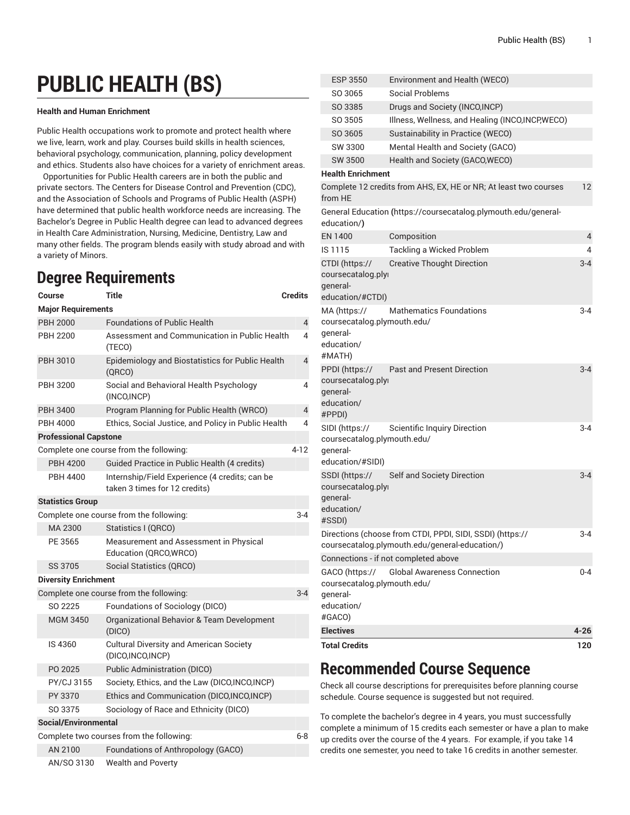# **PUBLIC HEALTH (BS)**

#### **Health and Human Enrichment**

Public Health occupations work to promote and protect health where we live, learn, work and play. Courses build skills in health sciences, behavioral psychology, communication, planning, policy development and ethics. Students also have choices for a variety of enrichment areas.

Opportunities for Public Health careers are in both the public and private sectors. The Centers for Disease Control and Prevention (CDC), and the Association of Schools and Programs of Public Health (ASPH) have determined that public health workforce needs are increasing. The Bachelor's Degree in Public Health degree can lead to advanced degrees in Health Care Administration, Nursing, Medicine, Dentistry, Law and many other fields. The program blends easily with study abroad and with a variety of Minors.

## **Degree Requirements**

| Course                                           | Title                                                                           | <b>Credits</b> |  |  |
|--------------------------------------------------|---------------------------------------------------------------------------------|----------------|--|--|
| <b>Major Requirements</b>                        |                                                                                 |                |  |  |
| <b>PBH 2000</b>                                  | <b>Foundations of Public Health</b>                                             | 4              |  |  |
| <b>PBH 2200</b>                                  | Assessment and Communication in Public Health<br>(TECO)                         | 4              |  |  |
| PBH 3010                                         | Epidemiology and Biostatistics for Public Health<br>(QRCO)                      | $\overline{4}$ |  |  |
| <b>PBH 3200</b>                                  | Social and Behavioral Health Psychology<br>(INCO, INCP)                         | 4              |  |  |
| <b>PBH 3400</b>                                  | Program Planning for Public Health (WRCO)                                       | $\overline{4}$ |  |  |
| <b>PBH 4000</b>                                  | Ethics, Social Justice, and Policy in Public Health                             | 4              |  |  |
| <b>Professional Capstone</b>                     |                                                                                 |                |  |  |
|                                                  | Complete one course from the following:                                         | 4-12           |  |  |
| <b>PBH 4200</b>                                  | Guided Practice in Public Health (4 credits)                                    |                |  |  |
| <b>PBH 4400</b>                                  | Internship/Field Experience (4 credits; can be<br>taken 3 times for 12 credits) |                |  |  |
| <b>Statistics Group</b>                          |                                                                                 |                |  |  |
|                                                  | Complete one course from the following:                                         | $3 - 4$        |  |  |
| MA 2300                                          | Statistics I (QRCO)                                                             |                |  |  |
| PE 3565                                          | Measurement and Assessment in Physical<br>Education (QRCO, WRCO)                |                |  |  |
| SS 3705                                          | Social Statistics (QRCO)                                                        |                |  |  |
| <b>Diversity Enrichment</b>                      |                                                                                 |                |  |  |
| Complete one course from the following:<br>$3-4$ |                                                                                 |                |  |  |
| SO 2225                                          | Foundations of Sociology (DICO)                                                 |                |  |  |
| <b>MGM 3450</b>                                  | Organizational Behavior & Team Development<br>(DICO)                            |                |  |  |
| IS 4360                                          | <b>Cultural Diversity and American Society</b><br>(DICO, INCO, INCP)            |                |  |  |
| PO 2025                                          | Public Administration (DICO)                                                    |                |  |  |
| PY/CJ 3155                                       | Society, Ethics, and the Law (DICO, INCO, INCP)                                 |                |  |  |
| PY 3370                                          | Ethics and Communication (DICO, INCO, INCP)                                     |                |  |  |
| SO 3375                                          | Sociology of Race and Ethnicity (DICO)                                          |                |  |  |
| Social/Environmental                             |                                                                                 |                |  |  |
|                                                  | Complete two courses from the following:                                        | $6-8$          |  |  |
| AN 2100                                          | Foundations of Anthropology (GACO)                                              |                |  |  |
| AN/SO 3130                                       | <b>Wealth and Poverty</b>                                                       |                |  |  |

| <b>ESP 3550</b>                                                                   | Environment and Health (WECO)                                                                               |         |
|-----------------------------------------------------------------------------------|-------------------------------------------------------------------------------------------------------------|---------|
| SO 3065                                                                           | <b>Social Problems</b>                                                                                      |         |
| SO 3385                                                                           | Drugs and Society (INCO, INCP)                                                                              |         |
| SO 3505                                                                           | Illness, Wellness, and Healing (INCO, INCP, WECO)                                                           |         |
| SO 3605                                                                           | Sustainability in Practice (WECO)                                                                           |         |
| SW 3300                                                                           | Mental Health and Society (GACO)                                                                            |         |
| SW 3500                                                                           | Health and Society (GACO, WECO)                                                                             |         |
| <b>Health Enrichment</b>                                                          |                                                                                                             |         |
| from HE                                                                           | Complete 12 credits from AHS, EX, HE or NR; At least two courses                                            | 12      |
| education/)                                                                       | General Education (https://coursecatalog.plymouth.edu/general-                                              |         |
| <b>EN 1400</b>                                                                    | Composition                                                                                                 | 4       |
| IS 1115                                                                           | Tackling a Wicked Problem                                                                                   | 4       |
| CTDI (https://<br>coursecatalog.plyi<br>qeneral-<br>education/#CTDI)              | <b>Creative Thought Direction</b>                                                                           | $3 - 4$ |
| MA (https://<br>coursecatalog.plymouth.edu/<br>general-<br>education/<br>#MATH)   | <b>Mathematics Foundations</b>                                                                              | $3 - 4$ |
| PPDI (https://<br>coursecatalog.plyi<br>qeneral-<br>education/<br>#PPDI)          | <b>Past and Present Direction</b>                                                                           | $3 - 4$ |
| SIDI (https://<br>coursecatalog.plymouth.edu/<br>qeneral-<br>education/#SIDI)     | <b>Scientific Inquiry Direction</b>                                                                         | $3 - 4$ |
| SSDI (https://<br>coursecatalog.plyi<br>deneral-<br>education/<br>#SSDI)          | Self and Society Direction                                                                                  | $3 - 4$ |
|                                                                                   | Directions (choose from CTDI, PPDI, SIDI, SSDI) (https://<br>coursecatalog.plymouth.edu/general-education/) | 3-4     |
|                                                                                   | Connections - if not completed above                                                                        |         |
| GACO (https://<br>coursecatalog.plymouth.edu/<br>qeneral-<br>education/<br>#GACO) | <b>Global Awareness Connection</b>                                                                          | $0 - 4$ |
| <b>Electives</b>                                                                  |                                                                                                             | 4-26    |
| <b>Total Credits</b>                                                              |                                                                                                             | 120     |

## **Recommended Course Sequence**

Check all course descriptions for prerequisites before planning course schedule. Course sequence is suggested but not required.

To complete the bachelor's degree in 4 years, you must successfully complete a minimum of 15 credits each semester or have a plan to make up credits over the course of the 4 years. For example, if you take 14 credits one semester, you need to take 16 credits in another semester.